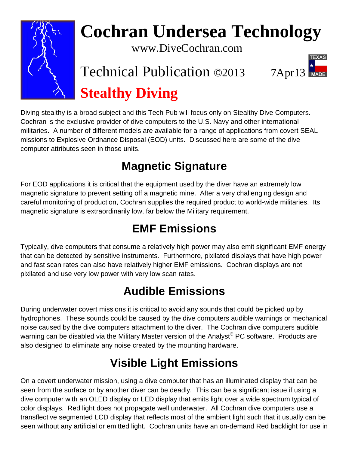

# **Cochran Undersea Technology**

www.DiveCochran.com

# Technical Publication ©2013 7Apr13 **Stealthy Diving**



Diving stealthy is a broad subject and this Tech Pub will focus only on Stealthy Dive Computers. Cochran is the exclusive provider of dive computers to the U.S. Navy and other international militaries. A number of different models are available for a range of applications from covert SEAL missions to Explosive Ordnance Disposal (EOD) units. Discussed here are some of the dive computer attributes seen in those units.

# **Magnetic Signature**

For EOD applications it is critical that the equipment used by the diver have an extremely low magnetic signature to prevent setting off a magnetic mine. After a very challenging design and careful monitoring of production, Cochran supplies the required product to world-wide militaries. Its magnetic signature is extraordinarily low, far below the Military requirement.

#### **EMF Emissions**

Typically, dive computers that consume a relatively high power may also emit significant EMF energy that can be detected by sensitive instruments. Furthermore, pixilated displays that have high power and fast scan rates can also have relatively higher EMF emissions. Cochran displays are not pixilated and use very low power with very low scan rates.

# **Audible Emissions**

During underwater covert missions it is critical to avoid any sounds that could be picked up by hydrophones. These sounds could be caused by the dive computers audible warnings or mechanical noise caused by the dive computers attachment to the diver. The Cochran dive computers audible warning can be disabled via the Military Master version of the Analyst® PC software. Products are also designed to eliminate any noise created by the mounting hardware.

# **Visible Light Emissions**

On a covert underwater mission, using a dive computer that has an illuminated display that can be seen from the surface or by another diver can be deadly. This can be a significant issue if using a dive computer with an OLED display or LED display that emits light over a wide spectrum typical of color displays. Red light does not propagate well underwater. All Cochran dive computers use a transflective segmented LCD display that reflects most of the ambient light such that it usually can be seen without any artificial or emitted light. Cochran units have an on-demand Red backlight for use in